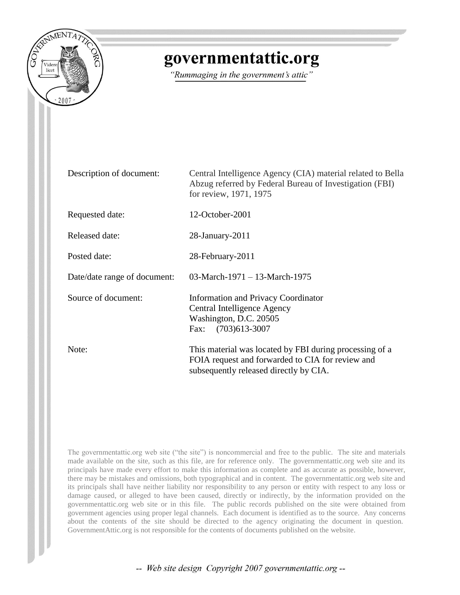

## governmentattic.org

"Rummaging in the government's attic"

| Description of document:     | Central Intelligence Agency (CIA) material related to Bella<br>Abzug referred by Federal Bureau of Investigation (FBI)<br>for review, 1971, 1975      |
|------------------------------|-------------------------------------------------------------------------------------------------------------------------------------------------------|
| Requested date:              | 12-October-2001                                                                                                                                       |
| Released date:               | 28-January-2011                                                                                                                                       |
| Posted date:                 | 28-February-2011                                                                                                                                      |
| Date/date range of document: | 03-March-1971 - 13-March-1975                                                                                                                         |
| Source of document:          | <b>Information and Privacy Coordinator</b><br>Central Intelligence Agency<br>Washington, D.C. 20505<br>Fax: (703)613-3007                             |
| Note:                        | This material was located by FBI during processing of a<br>FOIA request and forwarded to CIA for review and<br>subsequently released directly by CIA. |

The governmentattic.org web site ("the site") is noncommercial and free to the public. The site and materials made available on the site, such as this file, are for reference only. The governmentattic.org web site and its principals have made every effort to make this information as complete and as accurate as possible, however, there may be mistakes and omissions, both typographical and in content. The governmentattic.org web site and its principals shall have neither liability nor responsibility to any person or entity with respect to any loss or damage caused, or alleged to have been caused, directly or indirectly, by the information provided on the governmentattic.org web site or in this file. The public records published on the site were obtained from government agencies using proper legal channels. Each document is identified as to the source. Any concerns about the contents of the site should be directed to the agency originating the document in question. GovernmentAttic.org is not responsible for the contents of documents published on the website.

-- Web site design Copyright 2007 governmentattic.org --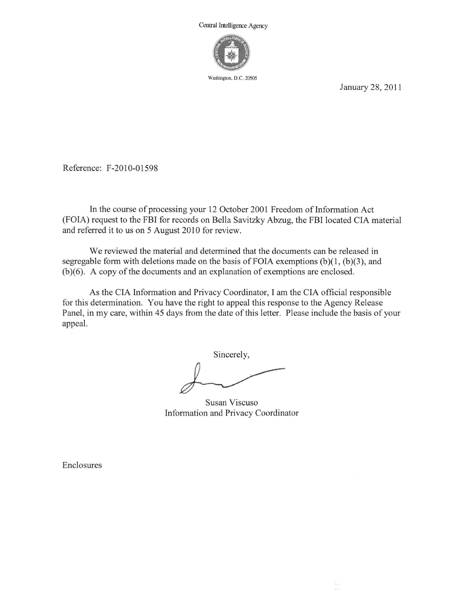

Washington, D.C. 20505

January 28, 2011

Reference: F-2010-01598

In the course of processing your 12 October 2001 Freedom of Information Act (FOIA) request to the FBI for records on Bella Savitzky Abzug, the FBI located CIA material and referred it to us on 5 August 2010 for review.

We reviewed the material and determined that the documents can be released in segregable form with deletions made on the basis of FOIA exemptions  $(b)(1, (b)(3))$ , and (b)(6). A copy of the documents and an explanation of exemptions are enclosed.

As the CIA Information and Privacy Coordinator, I am the CIA official responsible for this determination. You have the right to appeal this response to the Agency Release Panel, in my care, within 45 days from the date of this letter. Please include the basis of your appeal.

Sincerely,

Susan Viscuso Information and Privacy Coordinator

Enclosures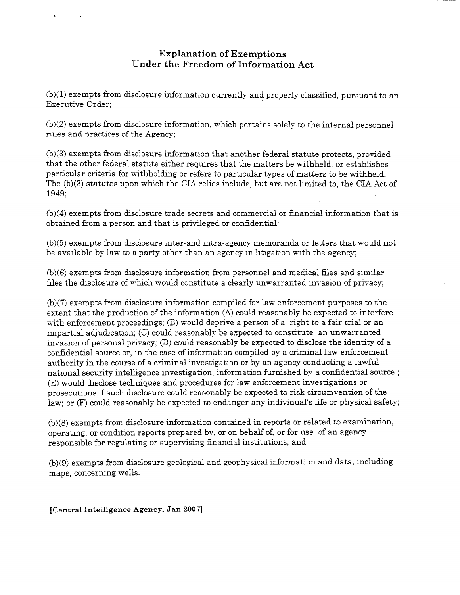## Explanation of Exemptions Under the Freedom of Information Act

(b)(l) exempts from disclosure information currently and properly classified, pursuant to an Executive Order;

(b)(2) exempts from disclosure information, which pertains solely to the internal personnel rules and practices of the Agency;

(b)(3) exempts from disclosure information that another federal statute protects, provided that the other federal statute either requires that the matters be withheld, or establishes particular criteria for withholding or refers to particular types of matters to be withheld. The  $(b)(3)$  statutes upon which the CIA relies include, but are not limited to, the CIA Act of 1949;

(b)(4) exempts from disclosure trade secrets and commercial or financial information that is obtained from a person and that is privileged or confidential;

(b)(5) exempts from disclosure inter-and intra-agency memoranda or letters that would not be available by law to a party other than an agency in litigation with the agency;

(b)(6) exempts from disclosure information from personnel and medical files and similar files the disclosure of which would constitute a clearly unwarranted invasion of privacy;

(b)(7) exempts from disclosure information compiled for law enforcement purposes to the extent that the production of the information (A) could reasonably be expected to interfere with enforcement proceedings; (B) would deprive a person of a right to a fair trial or an impartial adjudication; (C) could reasonably be expected to constitute an unwarranted invasion of personal privacy; (D) could reasonably be expected to disclose the identity of a confidential source or, in the case of information compiled by a criminal law enforcement authority in the course of a criminal investigation or by an agency conducting a lawful national security intelligence investigation, information furnished by a confidential source ; (E) would disclose techniques and procedures for law enforcement investigations or prosecutions if such disclosure could reasonably be expected to risk circumvention of the law; or (F) could reasonably be expected to endanger any individual's life or physical safety;

(b)(8) exempts from disclosure information contained in reports or related to examination, operating, or condition reports prepared by, or on behalf of, or for use of an agency responsible for regulating or supervising financial institutions; and

(b)(9) exempts from disclosure geological and geophysical information and data, including maps, concerning wells.

[Central Intelligence Agency, Jan 2007]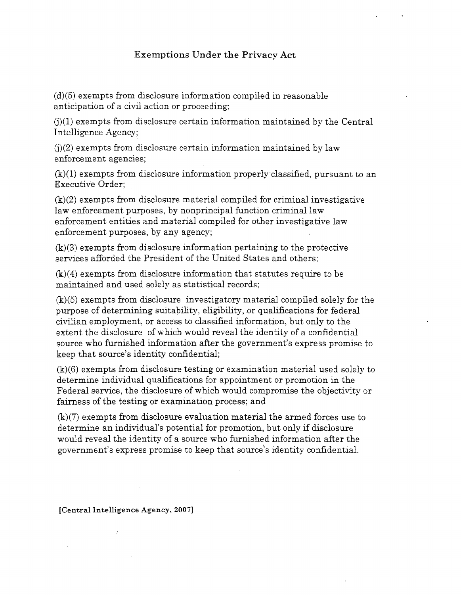## **Exemptions Under the Privacy Act**

(d)(5) exempts from disclosure information compiled in reasonable anticipation of a civil action or proceeding;

 $(i)(1)$  exempts from disclosure certain information maintained by the Central Intelligence Agency;

 $(i)(2)$  exempts from disclosure certain information maintained by law enforcement agencies;

(k)(l) exempts from disclosure information properly classified, pursuant to an Executive Order;

(k)(2) exempts from disclosure material compiled for criminal investigative law enforcement purposes, by nonprincipal function criminal law enforcement entities and material compiled for other investigative law enforcement purposes, by any agency;

(k)(3) exempts from disclosure information pertaining to the protective services afforded the President of the United States and others;

(k)(4) exempts from disclosure information that statutes require to be maintained and used solely as statistical records;

(k)(5) exempts from disclosure investigatory material compiled solely for the purpose of determining suitability, eligibility, or qualifications for federal civilian employment, or access to classified information, but only to the extent the disclosure of which would reveal the identity of a confidential source who furnished information after the government's express promise to keep that source's identity confidential;

(k)(6) exempts from disclosure testing or examination material used solely to determine individual qualifications for appointment or promotion in the Federal service, the disclosure of which would compromise the objectivity or fairness of the testing or examination process; and

(k)(7) exempts from disclosure evaluation material the armed forces use to determine an individual's potential for promotion, but only if disclosure would reveal the identity of a source who furnished information after the government's express promise to keep that source''s identity confidential.

[Central Intelligence Agency, 2007]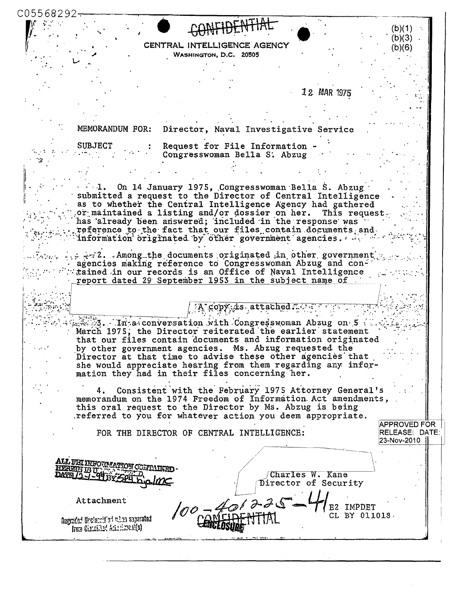C05568292· (b)(1)  $(b)(3)$ CENTRAL INTELLIGENCE AGENCY  $(b)(6)$ WASHINGTON, D.C. 20505 12 MAR 1975 MEMORANDUM FOR: Director, Naval Investigative Service Request for File Information SUBJECT Congresswoman Bella S. Abzug  $\cdots$  1. On 14 January 1975, Congresswoman Bella S. Abzug submitted a request to the Director of Central Intelligence as to whether the Central Intelligence Agency had gathered or maintained a listing and/or dossier on her. This request. has already been answered; included in the response was reference to the fact that our files contain documents and information originated by other government agencies. All was  $\therefore$   $\therefore$  2. . Among the documents originated in other government agencies making reference to Congresswoman Abzug and contained in our records is an Office of Naval Intelligence report dated 29 September 1953 in the subject name of. copy is attached.  $\mathbb{R}$  3. In a conversation with Congress woman Abzug on 5. March 1975, the Director reiterated the earlier statement that our files contain documents and information originated by other government agencies. Ms. Abzug requested the Director at that time to advise these other agencies that she would appreciate hearing from them regarding any information they had in their files concerning her. Consistent with the February 1975 Attorney General's 4. memorandum on the 1974 Freedom of Information Act amendments, this oral request to the Director by Ms. Abzug is being referred to you for whatever action you deem appropriate. **APPROVED FOR** RELEASEL DATE: FOR THE DIRECTOR OF CENTRAL INTELLIGENCE: 23-Nov-2010 | ALL FEI INFORMAT Charles W. Kane Director of Security Attachment E2 IMPDET CL BY 011018. Regraded Uncleardflad when separated from Chatchilest Ariani, meani(s)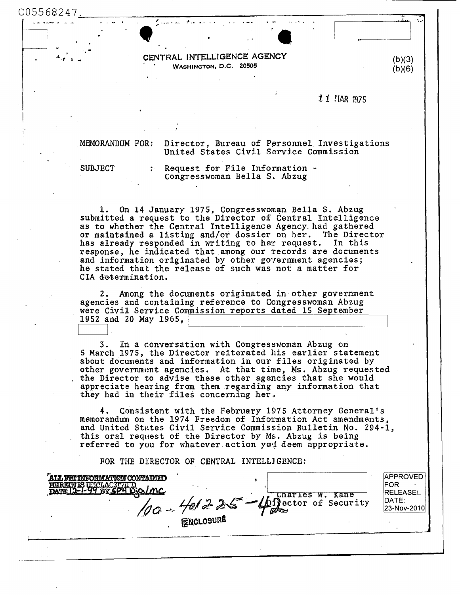C05568247~·--------------------------~---------------~~~

CENTRAL INTELLIGENCE AGENCY WASHINGTON, D.C. 20505

1 1 *HAR* 1975

 $(b)(3)$  $(b)(6)$ 

MEMORANDUM FOR: Director, Bureau of Personnel Investigations<br>United States Civil Service Commission

 $\bullet$  ,  $\bullet$  ,  $\bullet$  ,  $\bullet$  ,  $\bullet$  ,  $\bullet$  ,  $\bullet$  ,  $\bullet$  ,  $\bullet$  ,  $\bullet$  ,  $\bullet$  ,  $\bullet$  ,  $\bullet$  ,  $\bullet$  ,  $\bullet$  ,  $\bullet$  ,  $\bullet$  ,  $\bullet$  ,  $\bullet$  ,  $\bullet$  ,  $\bullet$  ,  $\bullet$  ,  $\bullet$  ,  $\bullet$  ,  $\bullet$  ,  $\bullet$  ,  $\bullet$  ,  $\bullet$  ,  $\bullet$  ,  $\bullet$  ,  $\bullet$  ,  $\bullet$ 

SUBJECT : Request for File Information -<br>Congresswoman Bella S. Abzug

1. On 14 January 1975, Congresswoman Bella S. Abzug submitted a request to the Director of Central Intelligence as to whether the Central Intelligence Agency. had gathered or maintained a listing and/or dossier on her. The Director has already responded in writing to her request. In this response, he indicated that among our records are documents and information originated by other government agencies; he stated that the release of such was not a matter for CIA determination.

2. Among the documents originated in other government agencies and containing reference to Congresswoman Abzug were Civil Service Commission reports dated 15 September 1952 and 20 May 1965,  $\frac{1332 \text{ and } 20 \text{ may } 1303, }{\cdots}$ 

3. In a conversation with Congresswoman Abzug on 5 March 1975, the Director reiterated his earlier statement other government agencies. At that time, Ms. Abzug requested<br>the Director to advise these other agencies that she would appreciate hearing from them regarding any information that they had in their files concerning her.

4. Consistent with the February 1975 Attorney General's memorandum on the 1974 Freedom of Information Act amendments,, and United States Civil Service Commission Bulletin No. 294-1, this oral request of the Director by Ms. Abzug is being referred to you for whatever action you deem appropriate.

FOR THE DYRECTOR OF CENTRAL INTELLJGENCE:

| <b>ALL YEI INFORMATION CONTAINED</b><br>HEREIN IS USCLACSTRID | <b>ENCLOSURE</b> | $\sqrt{9a - \frac{401}{5}}$ $\approx 2.5 - 4$ Charles W. Kane | <b>APPROVED</b><br>IFOR<br><b>RELEASE</b><br>DATE:<br>23-Nov-2010 |
|---------------------------------------------------------------|------------------|---------------------------------------------------------------|-------------------------------------------------------------------|
|                                                               |                  |                                                               |                                                                   |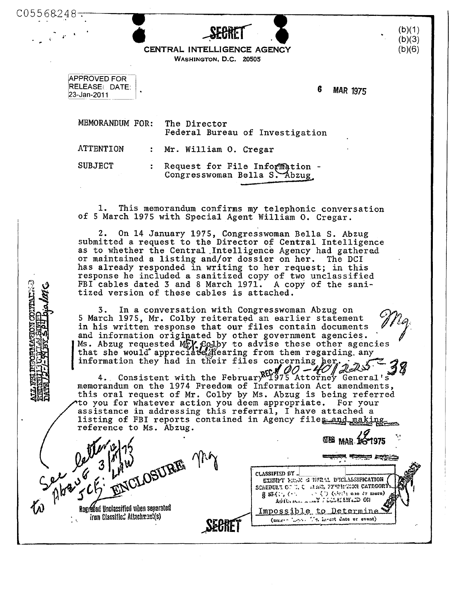| 248 |               |
|-----|---------------|
| . . |               |
|     | <b>OFADPT</b> |



APPROVED FOR RELEASE! DATE: 23-Jan-2011

C05568

~·

G MAR 1975

MEMORANDUM FOR: The Director Federal Bureau of Investigation ATTENTION SUBJECT Mr. William 0. Cregar Request for File Information -Congresswoman Bella S. Abzug

1. This memorandum confirms my telephonic conversation of 5 March 1975 with Special Agent William 0. Cregar.

2. On 14 January 1975, Congresswoman Bella S. Abzug submitted a request to the Director of Central Intelligence as to whether the Central Intelligence Agency had gathered<br>or maintained a listing and/or dossier on her. The DCI or maintained a listing and/or dossier on her. has already responded in writing to her request; in this response he included a sanitized copy of two unclassified FBI cables dated 3 and 8 March 1971. A copy of the sanitized version of these cables is attached.

In a conversation with Congresswoman Abzug on 3. 5 March 1975, Mr. Colby reiterated an earlier statement in his written response that our files contain documents and information originated by other government agencies. Ms. Abzug requested MrV Colby to advise these other agencies that she would appreciate Mergering from them regarding any

information they had in their files concerning her. memorandum on the 1974 Freedom of Information Act amendments, this oral request of Mr. Colby by Ms. Abzug is being referred to you for whatever action you deem appropriate. For your assistance in addressing this referral, I have attached a listing of FBI reports contained in Agency files and making reference to Ms. Abzug.

ENCLOSURE The *Contractor* Rogriffed Unclassified when separated from Classified Attachment(s)

'"&!..~~ ..... ~·,. ·~··~·- ~ CI.,\SSIFlliD f.W SCHEDULY OF T. C. SEAG, PYWH-TION CATEGORY  $855($ ; ( $\cdot$ )  $\langle \cdot, \cdot \rangle$  (similar one of more) AUTO SALL A WAY 7 LONAISH LID ON Impossible to Determine (unicys 'Lets) Ms. larest date or event)

 $(b)(1)$  $(b)(3)$ (b)(6)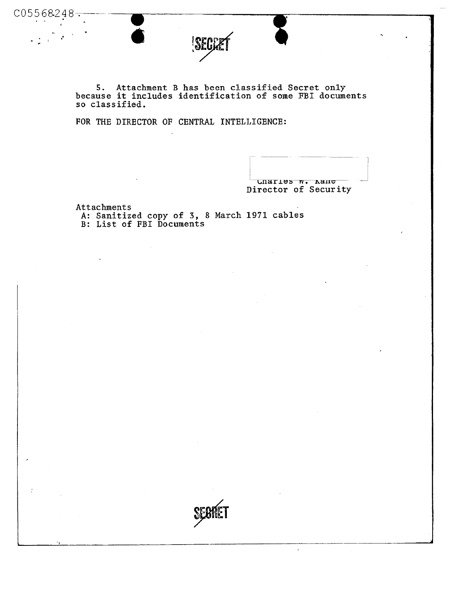5. Attachment B has been classified Secret only because it includes identification of some FBI documents so classified.

FOR THE DIRECTOR OF CENTRAL INTELLIGENCE:

•<br>•<br>•

Charles w. Aane Director of Security

 $\ddot{\phantom{a}}$ 

Attachments

 $C05568248-$ 

A: Sanitized copy of 3, 8 March 1971 cables B: List of FBI Documents

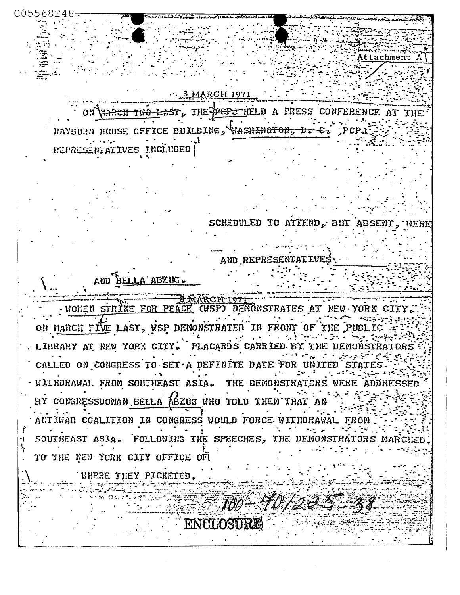**MARCH 1971** AST. THE PEP THELD A PRESS CONFERENCE AT RAYBURN HOUSE OFFICE BUILDING, VASHINGTON, D. S. REPRESENTATIVES INCLUDED SCHEDULED TO ATTEND, BUT ABSENT, WER and RE AND BELLA ABZUG. · WOMEN STRIKE FOR PEACE DEMONSTRATES AT NEW YORK ON MARCH FIVE LAST, WSP DEMONSTRATED IN FRONT OF THE PUBLIC . LIBRARY AT NEW YORK CITY. PLACARDS CARRIED BY THE DEMONSTRATORS CALLED ON CONGRESS TO SET A DEFINITE DATE FOR UNITED - WITHDRAWAL FROM SOUTHEAST ASIA. THE DEMONSTRATORS WERE ADDRESSED BY CONGRESSWOMAN BELLA ABZUG WHO TOLD THEN THAT AN ANTIWAR COALITION IN CONGRESS WOULD FORCE WITHDRAWAL FROM SOUTHEAST ASIA. FOLLOWING THE SPEECHES, THE DEMONSTRATORS MARC TO THE NEW YORK CITY OFFICE OF WHERE THEY PICKETED.  $=100-70$ 

ttachment

C05568248

ENCLOSURE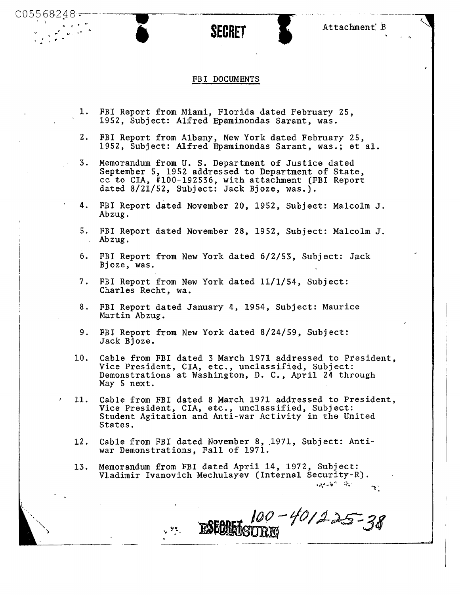